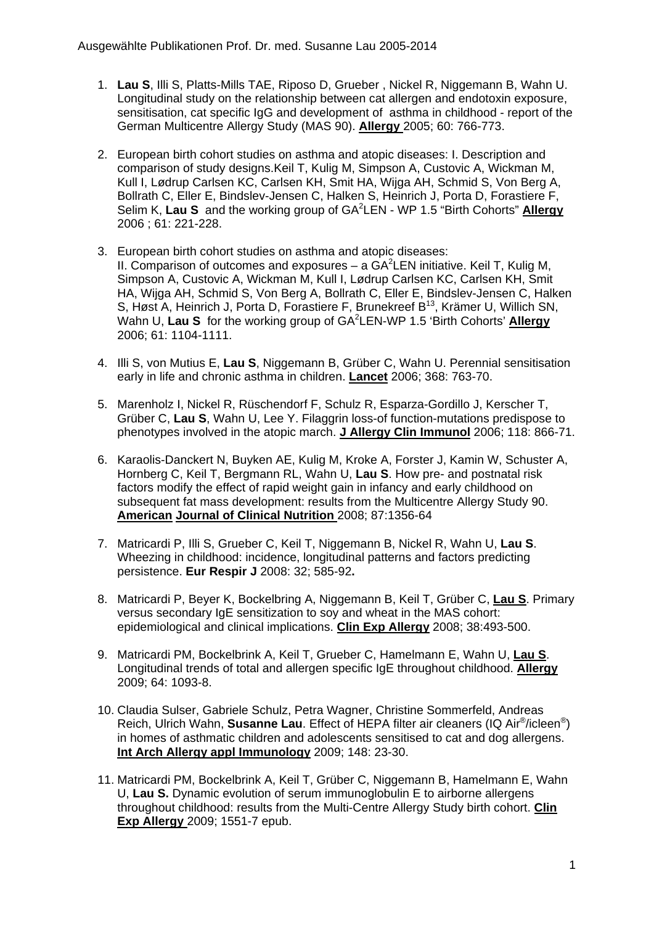- 1. **Lau S**, Illi S, Platts-Mills TAE, Riposo D, Grueber , Nickel R, Niggemann B, Wahn U. Longitudinal study on the relationship between cat allergen and endotoxin exposure, sensitisation, cat specific IgG and development of asthma in childhood - report of the German Multicentre Allergy Study (MAS 90). **Allergy** 2005; 60: 766-773.
- 2. European birth cohort studies on asthma and atopic diseases: I. Description and comparison of study designs.Keil T, Kulig M, Simpson A, Custovic A, Wickman M, Kull I, Lødrup Carlsen KC, Carlsen KH, Smit HA, Wijga AH, Schmid S, Von Berg A, Bollrath C, Eller E, Bindslev-Jensen C, Halken S, Heinrich J, Porta D, Forastiere F, Selim K, **Lau S** and the working group of GA<sup>2</sup> LEN - WP 1.5 "Birth Cohorts" **Allergy** 2006 ; 61: 221-228.
- 3. European birth cohort studies on asthma and atopic diseases: II. Comparison of outcomes and exposures  $-$  a GA<sup>2</sup>LEN initiative. Keil T, Kulig M, Simpson A, Custovic A, Wickman M, Kull I, Lødrup Carlsen KC, Carlsen KH, Smit HA, Wijga AH, Schmid S, Von Berg A, Bollrath C, Eller E, Bindslev-Jensen C, Halken S, Høst A, Heinrich J, Porta D, Forastiere F, Brunekreef B<sup>13</sup>, Krämer U, Willich SN, Wahn U, Lau S for the working group of GA<sup>2</sup>LEN-WP 1.5 'Birth Cohorts' **Allergy** 2006; 61: 1104-1111.
- 4. Illi S, von Mutius E, **Lau S**, Niggemann B, Grüber C, Wahn U. Perennial sensitisation early in life and chronic asthma in children. **Lancet** 2006; 368: 763-70.
- 5. Marenholz I, Nickel R, Rüschendorf F, Schulz R, Esparza-Gordillo J, Kerscher T, Grüber C, **Lau S**, Wahn U, Lee Y. Filaggrin loss-of function-mutations predispose to phenotypes involved in the atopic march. **J Allergy Clin Immunol** 2006; 118: 866-71.
- 6. Karaolis-Danckert N, Buyken AE, Kulig M, Kroke A, Forster J, Kamin W, Schuster A, Hornberg C, Keil T, Bergmann RL, Wahn U, **Lau S**. How pre- and postnatal risk factors modify the effect of rapid weight gain in infancy and early childhood on subsequent fat mass development: results from the Multicentre Allergy Study 90. **American Journal of Clinical Nutrition** 2008; 87:1356-64
- 7. Matricardi P, Illi S, Grueber C, Keil T, Niggemann B, Nickel R, Wahn U, **Lau S**. Wheezing in childhood: incidence, longitudinal patterns and factors predicting persistence. **Eur Respir J** 2008: 32; 585-92**.**
- 8. Matricardi P, Beyer K, Bockelbring A, Niggemann B, Keil T, Grüber C, **Lau S**. Primary versus secondary IgE sensitization to soy and wheat in the MAS cohort: epidemiological and clinical implications. **Clin Exp Allergy** 2008; 38:493-500.
- 9. Matricardi PM, Bockelbrink A, Keil T, Grueber C, Hamelmann E, Wahn U, **Lau S**. Longitudinal trends of total and allergen specific IgE throughout childhood. **Allergy** 2009; 64: 1093-8.
- 10. Claudia Sulser, Gabriele Schulz, Petra Wagner, Christine Sommerfeld, Andreas Reich, Ulrich Wahn, **Susanne Lau**. Effect of HEPA filter air cleaners (IQ Air®/icleen®) in homes of asthmatic children and adolescents sensitised to cat and dog allergens. **Int Arch Allergy appl Immunology** 2009; 148: 23-30.
- 11. Matricardi PM, Bockelbrink A, Keil T, Grüber C, Niggemann B, Hamelmann E, Wahn U, **Lau S.** Dynamic evolution of serum immunoglobulin E to airborne allergens throughout childhood: results from the Multi-Centre Allergy Study birth cohort. **Clin Exp Allergy** 2009; 1551-7 epub.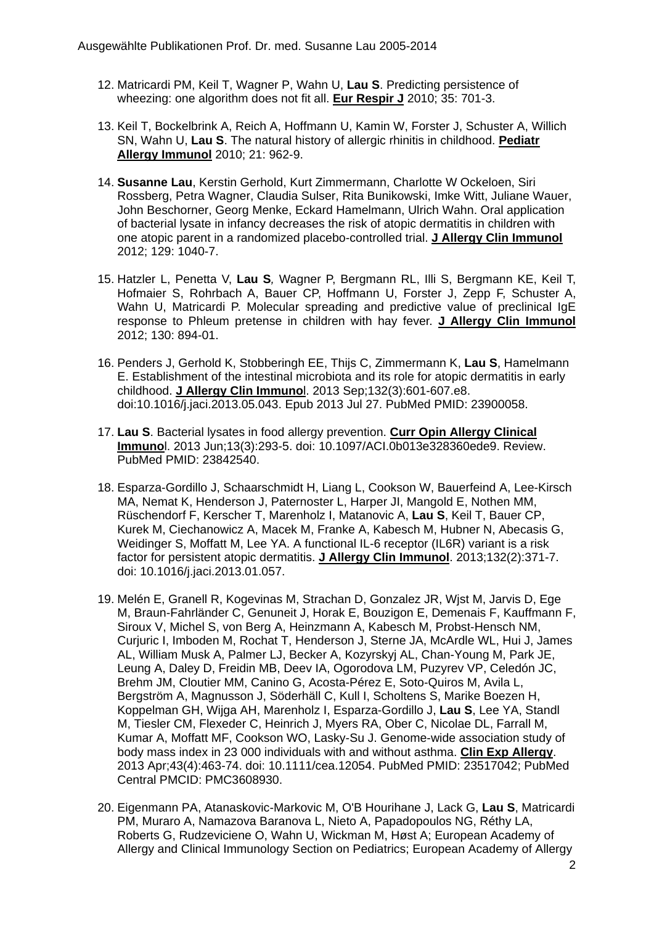- 12. Matricardi PM, Keil T, Wagner P, Wahn U, **Lau S**. Predicting persistence of wheezing: one algorithm does not fit all. **Eur Respir J** 2010; 35: 701-3.
- 13. Keil T, Bockelbrink A, Reich A, Hoffmann U, Kamin W, Forster J, Schuster A, Willich SN, Wahn U, **Lau S**. The natural history of allergic rhinitis in childhood. **Pediatr Allergy Immunol** 2010; 21: 962-9.
- 14. **Susanne Lau**, Kerstin Gerhold, Kurt Zimmermann, Charlotte W Ockeloen, Siri Rossberg, Petra Wagner, Claudia Sulser, Rita Bunikowski, Imke Witt, Juliane Wauer, John Beschorner, Georg Menke, Eckard Hamelmann, Ulrich Wahn. Oral application of bacterial lysate in infancy decreases the risk of atopic dermatitis in children with one atopic parent in a randomized placebo-controlled trial. **J Allergy Clin Immunol** 2012; 129: 1040-7.
- 15. Hatzler L, Penetta V, **Lau S***,* Wagner P, Bergmann RL, Illi S, Bergmann KE, Keil T, Hofmaier S, Rohrbach A, Bauer CP, Hoffmann U, Forster J, Zepp F, Schuster A, Wahn U, Matricardi P. Molecular spreading and predictive value of preclinical IgE response to Phleum pretense in children with hay fever. **J Allergy Clin Immunol** 2012; 130: 894-01.
- 16. Penders J, Gerhold K, Stobberingh EE, Thijs C, Zimmermann K, **Lau S**, Hamelmann E. Establishment of the intestinal microbiota and its role for atopic dermatitis in early childhood. **J Allergy Clin Immuno**l. 2013 Sep;132(3):601-607.e8. doi:10.1016/j.jaci.2013.05.043. Epub 2013 Jul 27. PubMed PMID: 23900058.
- 17. **Lau S**. Bacterial lysates in food allergy prevention. **Curr Opin Allergy Clinical Immuno**l. 2013 Jun;13(3):293-5. doi: 10.1097/ACI.0b013e328360ede9. Review. PubMed PMID: 23842540.
- 18. Esparza-Gordillo J, Schaarschmidt H, Liang L, Cookson W, Bauerfeind A, Lee-Kirsch MA, Nemat K, Henderson J, Paternoster L, Harper JI, Mangold E, Nothen MM, Rüschendorf F, Kerscher T, Marenholz I, Matanovic A, **Lau S**, Keil T, Bauer CP, Kurek M, Ciechanowicz A, Macek M, Franke A, Kabesch M, Hubner N, Abecasis G, Weidinger S, Moffatt M, Lee YA. A functional IL-6 receptor (IL6R) variant is a risk factor for persistent atopic dermatitis. **J Allergy Clin Immunol**. 2013;132(2):371-7. doi: 10.1016/j.jaci.2013.01.057.
- 19. Melén E, Granell R, Kogevinas M, Strachan D, Gonzalez JR, Wjst M, Jarvis D, Ege M, Braun-Fahrländer C, Genuneit J, Horak E, Bouzigon E, Demenais F, Kauffmann F, Siroux V, Michel S, von Berg A, Heinzmann A, Kabesch M, Probst-Hensch NM, Curjuric I, Imboden M, Rochat T, Henderson J, Sterne JA, McArdle WL, Hui J, James AL, William Musk A, Palmer LJ, Becker A, Kozyrskyj AL, Chan-Young M, Park JE, Leung A, Daley D, Freidin MB, Deev IA, Ogorodova LM, Puzyrev VP, Celedón JC, Brehm JM, Cloutier MM, Canino G, Acosta-Pérez E, Soto-Quiros M, Avila L, Bergström A, Magnusson J, Söderhäll C, Kull I, Scholtens S, Marike Boezen H, Koppelman GH, Wijga AH, Marenholz I, Esparza-Gordillo J, **Lau S**, Lee YA, Standl M, Tiesler CM, Flexeder C, Heinrich J, Myers RA, Ober C, Nicolae DL, Farrall M, Kumar A, Moffatt MF, Cookson WO, Lasky-Su J. Genome-wide association study of body mass index in 23 000 individuals with and without asthma. **Clin Exp Allergy**. 2013 Apr;43(4):463-74. doi: 10.1111/cea.12054. PubMed PMID: 23517042; PubMed Central PMCID: PMC3608930.
- 20. Eigenmann PA, Atanaskovic-Markovic M, O'B Hourihane J, Lack G, **Lau S**, Matricardi PM, Muraro A, Namazova Baranova L, Nieto A, Papadopoulos NG, Réthy LA, Roberts G, Rudzeviciene O, Wahn U, Wickman M, Høst A; European Academy of Allergy and Clinical Immunology Section on Pediatrics; European Academy of Allergy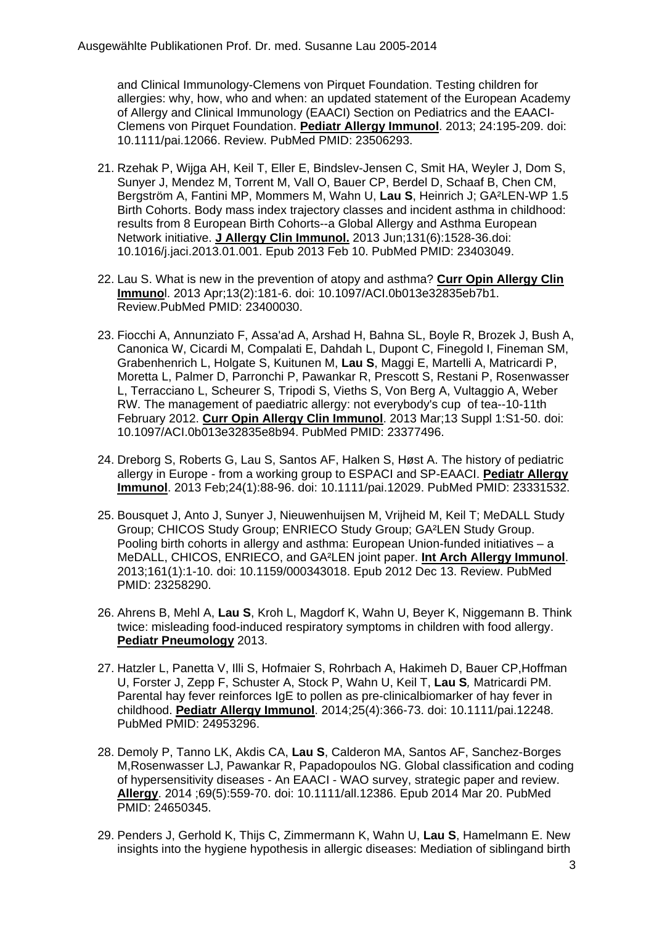and Clinical Immunology-Clemens von Pirquet Foundation. Testing children for allergies: why, how, who and when: an updated statement of the European Academy of Allergy and Clinical Immunology (EAACI) Section on Pediatrics and the EAACI-Clemens von Pirquet Foundation. **Pediatr Allergy Immunol**. 2013; 24:195-209. doi: 10.1111/pai.12066. Review. PubMed PMID: 23506293.

- 21. Rzehak P, Wijga AH, Keil T, Eller E, Bindslev-Jensen C, Smit HA, Weyler J, Dom S, Sunyer J, Mendez M, Torrent M, Vall O, Bauer CP, Berdel D, Schaaf B, Chen CM, Bergström A, Fantini MP, Mommers M, Wahn U, **Lau S**, Heinrich J; GA²LEN-WP 1.5 Birth Cohorts. Body mass index trajectory classes and incident asthma in childhood: results from 8 European Birth Cohorts--a Global Allergy and Asthma European Network initiative. **J Allergy Clin Immunol.** 2013 Jun;131(6):1528-36.doi: 10.1016/j.jaci.2013.01.001. Epub 2013 Feb 10. PubMed PMID: 23403049.
- 22. Lau S. What is new in the prevention of atopy and asthma? **Curr Opin Allergy Clin Immuno**l. 2013 Apr;13(2):181-6. doi: 10.1097/ACI.0b013e32835eb7b1. Review.PubMed PMID: 23400030.
- 23. Fiocchi A, Annunziato F, Assa'ad A, Arshad H, Bahna SL, Boyle R, Brozek J, Bush A, Canonica W, Cicardi M, Compalati E, Dahdah L, Dupont C, Finegold I, Fineman SM, Grabenhenrich L, Holgate S, Kuitunen M, **Lau S**, Maggi E, Martelli A, Matricardi P, Moretta L, Palmer D, Parronchi P, Pawankar R, Prescott S, Restani P, Rosenwasser L, Terracciano L, Scheurer S, Tripodi S, Vieths S, Von Berg A, Vultaggio A, Weber RW. The management of paediatric allergy: not everybody's cup of tea--10-11th February 2012. **Curr Opin Allergy Clin Immunol**. 2013 Mar;13 Suppl 1:S1-50. doi: 10.1097/ACI.0b013e32835e8b94. PubMed PMID: 23377496.
- 24. Dreborg S, Roberts G, Lau S, Santos AF, Halken S, Høst A. The history of pediatric allergy in Europe - from a working group to ESPACI and SP-EAACI. **Pediatr Allergy Immunol**. 2013 Feb;24(1):88-96. doi: 10.1111/pai.12029. PubMed PMID: 23331532.
- 25. Bousquet J, Anto J, Sunyer J, Nieuwenhuijsen M, Vrijheid M, Keil T; MeDALL Study Group; CHICOS Study Group; ENRIECO Study Group; GA²LEN Study Group. Pooling birth cohorts in allergy and asthma: European Union-funded initiatives – a MeDALL, CHICOS, ENRIECO, and GA²LEN joint paper. **Int Arch Allergy Immunol**. 2013;161(1):1-10. doi: 10.1159/000343018. Epub 2012 Dec 13. Review. PubMed PMID: 23258290.
- 26. Ahrens B, Mehl A, **Lau S**, Kroh L, Magdorf K, Wahn U, Beyer K, Niggemann B. Think twice: misleading food-induced respiratory symptoms in children with food allergy. **Pediatr Pneumology** 2013.
- 27. Hatzler L, Panetta V, Illi S, Hofmaier S, Rohrbach A, Hakimeh D, Bauer CP,Hoffman U, Forster J, Zepp F, Schuster A, Stock P, Wahn U, Keil T, **Lau S***,* Matricardi PM. Parental hay fever reinforces IgE to pollen as pre-clinicalbiomarker of hay fever in childhood. **Pediatr Allergy Immunol**. 2014;25(4):366-73. doi: 10.1111/pai.12248. PubMed PMID: 24953296.
- 28. Demoly P, Tanno LK, Akdis CA, **Lau S**, Calderon MA, Santos AF, Sanchez-Borges M,Rosenwasser LJ, Pawankar R, Papadopoulos NG. Global classification and coding of hypersensitivity diseases - An EAACI - WAO survey, strategic paper and review. **Allergy**. 2014 ;69(5):559-70. doi: 10.1111/all.12386. Epub 2014 Mar 20. PubMed PMID: 24650345.
- 29. Penders J, Gerhold K, Thijs C, Zimmermann K, Wahn U, **Lau S**, Hamelmann E. New insights into the hygiene hypothesis in allergic diseases: Mediation of siblingand birth